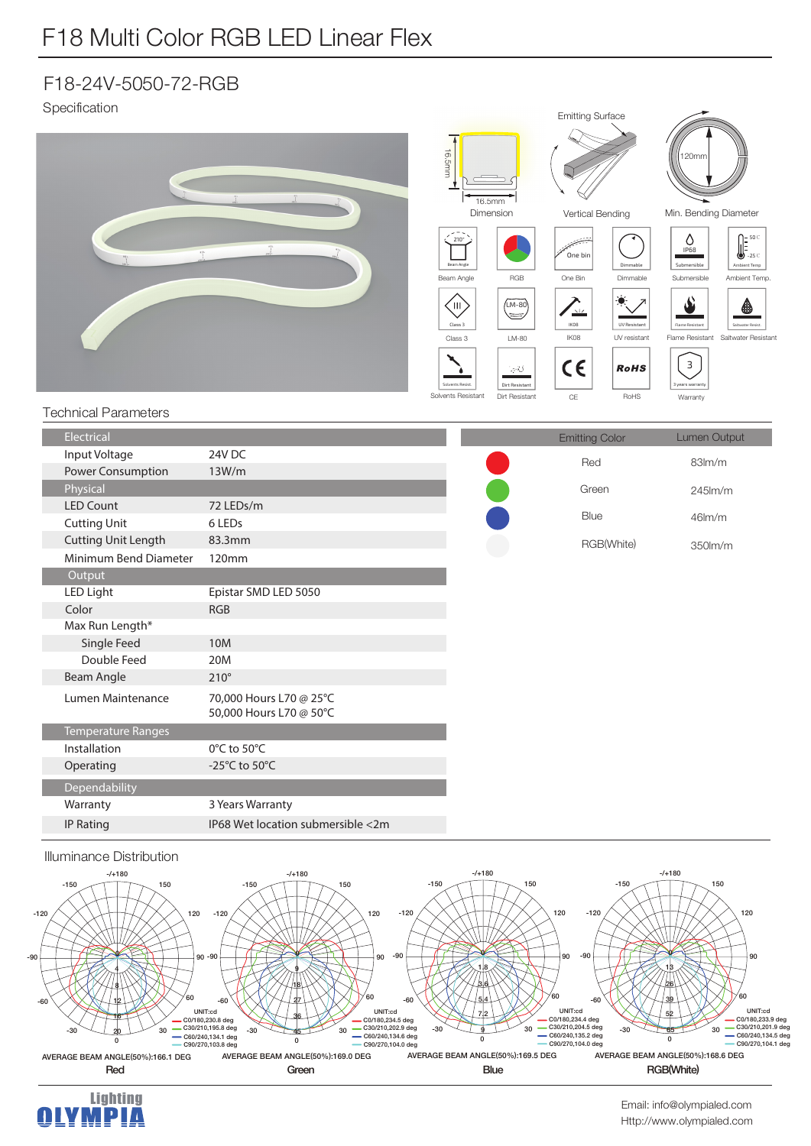## F18 Multi Color RGB LED Linear Flex

## F18-24V-5050-72-RGB

Specification